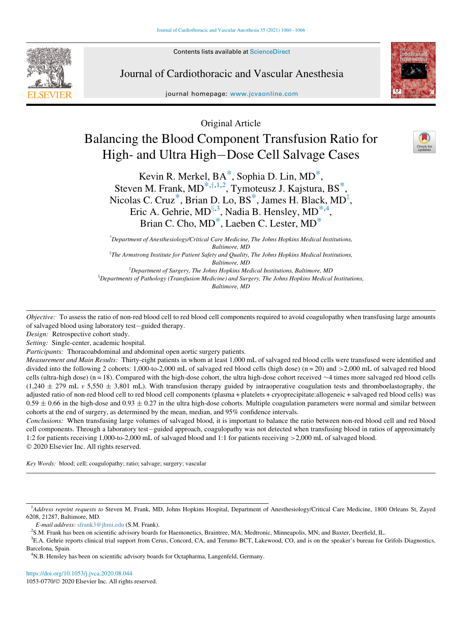Contents lists available at ScienceDirect



Journal of Cardiothoracic and Vascular Anesthesia

journal homepage: [www.jcvaonline.com](http://www.jcvaonline.com)



Original Article

# Balancing the Blood Component Transfusion Ratio for High- and Ultra High-Dose Cell Salvage Cases



Kevin R. Merkel, BA[\\*](#page-0-0), Sophia D. Lin, MD[\\*](#page-0-0), Steven M. Frank, MD<sup>\*,†,1,2</sup>, T[y](#page-0-1)moteusz J. Kajstura, BS<sup>[\\*](#page-0-0)</sup>, Nicolas C. Cru[z](#page-0-4) $^*$ , Brian D. Lo, BS $^*$ , James H. Black, MD $^{\ddagger}$ , Eric A. Gehrie, MD $§^{3,3}$  $§^{3,3}$  $§^{3,3}$ , Nadia B. Hensley, MD ${}^{*,4}$  ${}^{*,4}$  ${}^{*,4}$  ${}^{*,4}$  ${}^{*,4}$ , Brian C. Cho, MD<sup>[\\*](#page-0-0)</sup>, Laeben C. Lester, MD<sup>\*</sup>

\* Department of Anesthesiology/Critical Care Medicine, The Johns Hopkins Medical Institutions, Baltimore, MD  ${}^{T}$ The Armstrong Institute for Patient Safety and Quality, The Johns Hopkins Medical Institutions, Baltimore, MD <sup>‡</sup>Department of Surgery, The Johns Hopkins Medical Institutions, Baltimore, MD  $^8$ Departments of Pathology (Transfusion Medicine) and Surgery, The Johns Hopkins Medical Institutions,

Baltimore, MD

<span id="page-0-5"></span><span id="page-0-4"></span><span id="page-0-1"></span><span id="page-0-0"></span>Objective: To assess the ratio of non-red blood cell to red blood cell components required to avoid coagulopathy when transfusing large amounts of salvaged blood using laboratory test-guided therapy.

Design: Retrospective cohort study.

Setting: Single-center, academic hospital.

Participants: Thoracoabdominal and abdominal open aortic surgery patients.

Measurement and Main Results: Thirty-eight patients in whom at least 1,000 mL of salvaged red blood cells were transfused were identified and divided into the following 2 cohorts: 1,000-to-2,000 mL of salvaged red blood cells (high dose) (n = 20) and >2,000 mL of salvaged red blood cells (ultra-high dose) (n = 18). Compared with the high-dose cohort, the ultra high-dose cohort received  $\sim$ 4 times more salvaged red blood cells  $(1,240 \pm 279 \text{ mL y } 5,550 \pm 3,801 \text{ mL})$ . With transfusion therapy guided by intraoperative coagulation tests and thromboelastography, the adjusted ratio of non-red blood cell to red blood cell components (plasma + platelets + cryoprecipitate:allogeneic + salvaged red blood cells) was  $0.59 \pm 0.66$  in the high-dose and  $0.93 \pm 0.27$  in the ultra high-dose cohorts. Multiple coagulation parameters were normal and similar between cohorts at the end of surgery, as determined by the mean, median, and 95% confidence intervals.

Conclusions: When transfusing large volumes of salvaged blood, it is important to balance the ratio between non-red blood cell and red blood cell components. Through a laboratory test-guided approach, coagulopathy was not detected when transfusing blood in ratios of approximately 1:2 for patients receiving 1,000-to-2,000 mL of salvaged blood and 1:1 for patients receiving >2,000 mL of salvaged blood. 2020 Elsevier Inc. All rights reserved.

Key Words: blood; cell; coagulopathy; ratio; salvage; surgery; vascular

<span id="page-0-2"></span><sup>&</sup>lt;sup>1</sup>Address reprint requests to Steven M. Frank, MD, Johns Hopkins Hospital, Department of Anesthesiology/Critical Care Medicine, 1800 Orleans St, Zayed 6208, 21287, Baltimore, MD.

E-mail address: [sfrank3@jhmi.edu](mailto:sfrank3@jhmi.edu) (S.M. Frank). <sup>2</sup>

<sup>&</sup>lt;sup>2</sup>S.M. Frank has been on scientific advisory boards for Haemonetics, Braintree, MA; Medtronic, Minneapolis, MN; and Baxter, Deerfield, IL.

<span id="page-0-6"></span><span id="page-0-3"></span><sup>3</sup> E.A. Gehrie reports clinical trial support from Cerus, Concord, CA, and Terumo BCT, Lakewood, CO, and is on the speaker's bureau for Grifols Diagnostics, Barcelona, Spain.

<span id="page-0-7"></span><sup>4</sup> N.B. Hensley has been on scientific advisory boards for Octapharma, Langenfeld, Germany.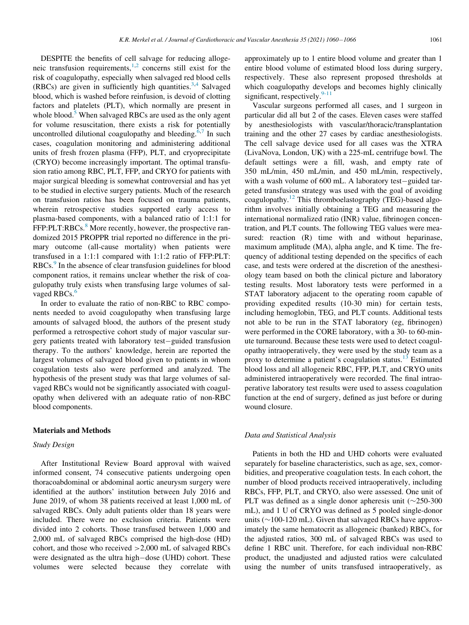DESPITE the benefits of cell salvage for reducing allogeneic transfusion requirements, $1,2$  $1,2$  concerns still exist for the risk of coagulopathy, especially when salvaged red blood cells (RBCs) are given in sufficiently high quantities.<sup>[3](#page-6-2)[,4](#page-6-3)</sup> Salvaged blood, which is washed before reinfusion, is devoid of clotting factors and platelets (PLT), which normally are present in whole blood.<sup>[5](#page-6-4)</sup> When salvaged RBCs are used as the only agent for volume resuscitation, there exists a risk for potentially uncontrolled dilutional coagulopathy and bleeding. $6,7$  $6,7$  In such cases, coagulation monitoring and administering additional units of fresh frozen plasma (FFP), PLT, and cryoprecipitate (CRYO) become increasingly important. The optimal transfusion ratio among RBC, PLT, FFP, and CRYO for patients with major surgical bleeding is somewhat controversial and has yet to be studied in elective surgery patients. Much of the research on transfusion ratios has been focused on trauma patients, wherein retrospective studies supported early access to plasma-based components, with a balanced ratio of 1:1:1 for FFP:PLT:RBCs.<sup>[8](#page-6-7)</sup> More recently, however, the prospective randomized 2015 PROPPR trial reported no difference in the primary outcome (all-cause mortality) when patients were transfused in a 1:1:1 compared with 1:1:2 ratio of FFP:PLT: RBCs.<sup>[9](#page-6-8)</sup> In the absence of clear transfusion guidelines for blood component ratios, it remains unclear whether the risk of coagulopathy truly exists when transfusing large volumes of sal-vaged RBCs.<sup>[6](#page-6-5)</sup>

In order to evaluate the ratio of non-RBC to RBC components needed to avoid coagulopathy when transfusing large amounts of salvaged blood, the authors of the present study performed a retrospective cohort study of major vascular surgery patients treated with laboratory test-guided transfusion therapy. To the authors' knowledge, herein are reported the largest volumes of salvaged blood given to patients in whom coagulation tests also were performed and analyzed. The hypothesis of the present study was that large volumes of salvaged RBCs would not be significantly associated with coagulopathy when delivered with an adequate ratio of non-RBC blood components.

## Materials and Methods

#### Study Design

After Institutional Review Board approval with waived informed consent, 74 consecutive patients undergoing open thoracoabdominal or abdominal aortic aneurysm surgery were identified at the authors' institution between July 2016 and June 2019, of whom 38 patients received at least 1,000 mL of salvaged RBCs. Only adult patients older than 18 years were included. There were no exclusion criteria. Patients were divided into 2 cohorts. Those transfused between 1,000 and 2,000 mL of salvaged RBCs comprised the high-dose (HD) cohort, and those who received >2,000 mL of salvaged RBCs were designated as the ultra high-dose (UHD) cohort. These<br>volumes were selected because they correlate with volumes were selected because they correlate

approximately up to 1 entire blood volume and greater than 1 entire blood volume of estimated blood loss during surgery, respectively. These also represent proposed thresholds at which coagulopathy develops and becomes highly clinically significant, respectively. $9-11$ 

Vascular surgeons performed all cases, and 1 surgeon in particular did all but 2 of the cases. Eleven cases were staffed by anesthesiologists with vascular/thoracic/transplantation training and the other 27 cases by cardiac anesthesiologists. The cell salvage device used for all cases was the XTRA (LivaNova, London, UK) with a 225-mL centrifuge bowl. The default settings were a fill, wash, and empty rate of 350 mL/min, 450 mL/min, and 450 mL/min, respectively, with a wash volume of  $600$  mL. A laboratory test-guided targeted transfusion strategy was used with the goal of avoiding coagulopathy.[12](#page-6-9) This thromboelastography (TEG)-based algorithm involves initially obtaining a TEG and measuring the international normalized ratio (INR) value, fibrinogen concentration, and PLT counts. The following TEG values were measured: reaction (R) time with and without heparinase, maximum amplitude (MA), alpha angle, and K time. The frequency of additional testing depended on the specifics of each case, and tests were ordered at the discretion of the anesthesiology team based on both the clinical picture and laboratory testing results. Most laboratory tests were performed in a STAT laboratory adjacent to the operating room capable of providing expedited results (10-30 min) for certain tests, including hemoglobin, TEG, and PLT counts. Additional tests not able to be run in the STAT laboratory (eg, fibrinogen) were performed in the CORE laboratory, with a 30- to 60-minute turnaround. Because these tests were used to detect coagulopathy intraoperatively, they were used by the study team as a proxy to determine a patient's coagulation status.<sup>[13](#page-6-10)</sup> Estimated blood loss and all allogeneic RBC, FFP, PLT, and CRYO units administered intraoperatively were recorded. The final intraoperative laboratory test results were used to assess coagulation function at the end of surgery, defined as just before or during wound closure.

#### Data and Statistical Analysis

Patients in both the HD and UHD cohorts were evaluated separately for baseline characteristics, such as age, sex, comorbidities, and preoperative coagulation tests. In each cohort, the number of blood products received intraoperatively, including RBCs, FFP, PLT, and CRYO, also were assessed. One unit of PLT was defined as a single donor apheresis unit  $(\sim 250-300$ mL), and 1 U of CRYO was defined as 5 pooled single-donor units ( $\sim$ 100-120 mL). Given that salvaged RBCs have approximately the same hematocrit as allogeneic (banked) RBCs, for the adjusted ratios, 300 mL of salvaged RBCs was used to define 1 RBC unit. Therefore, for each individual non-RBC product, the unadjusted and adjusted ratios were calculated using the number of units transfused intraoperatively, as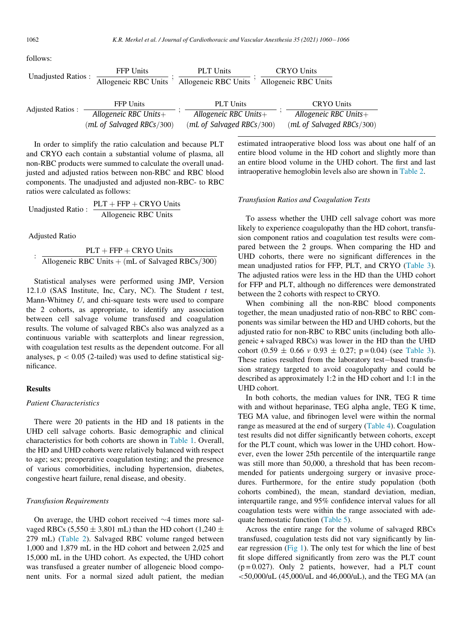follows:

| <b>Unadjusted Ratios:</b> | <b>FFP Units</b>          | <b>PLT</b> Units          | <b>CRYO</b> Units         |
|---------------------------|---------------------------|---------------------------|---------------------------|
|                           | Allogeneic RBC Units      | Allogeneic RBC Units      | Allogeneic RBC Units      |
|                           |                           |                           |                           |
| <b>Adjusted Ratios:</b>   | <b>FFP</b> Units          | <b>PLT</b> Units          | <b>CRYO Units</b>         |
|                           | Allogeneic RBC Units $+$  | Allogeneic RBC Units $+$  | Allogeneic RBC Units $+$  |
|                           | (mL of Salvaged RBCs/300) | (mL of Salvaged RBCs/300) | (mL of Salvaged RBCs/300) |

In order to simplify the ratio calculation and because PLT and CRYO each contain a substantial volume of plasma, all non-RBC products were summed to calculate the overall unadjusted and adjusted ratios between non-RBC and RBC blood components. The unadjusted and adjusted non-RBC- to RBC ratios were calculated as follows:

$$
Unadjusted Ratio: \frac{PLT + FFP + CRYO Units}{Allogenic RBC Units}
$$

Adjusted Ratio

 $PLT + FFP + CRYO$  Units Allogeneic RBC Units  $+$  (mL of Salvaged RBCs/300)

Statistical analyses were performed using JMP, Version 12.1.0 (SAS Institute, Inc, Cary, NC). The Student  $t$  test, Mann-Whitney U, and chi-square tests were used to compare the 2 cohorts, as appropriate, to identify any association between cell salvage volume transfused and coagulation results. The volume of salvaged RBCs also was analyzed as a continuous variable with scatterplots and linear regression, with coagulation test results as the dependent outcome. For all analyses,  $p < 0.05$  (2-tailed) was used to define statistical significance.

# **Results**

# Patient Characteristics

There were 20 patients in the HD and 18 patients in the UHD cell salvage cohorts. Basic demographic and clinical characteristics for both cohorts are shown in [Table 1.](#page-3-0) Overall, the HD and UHD cohorts were relatively balanced with respect to age; sex; preoperative coagulation testing; and the presence of various comorbidities, including hypertension, diabetes, congestive heart failure, renal disease, and obesity.

### Transfusion Requirements

On average, the UHD cohort received  $\sim$ 4 times more salvaged RBCs (5,550  $\pm$  3,801 mL) than the HD cohort (1,240  $\pm$ 279 mL) ([Table 2\)](#page-3-1). Salvaged RBC volume ranged between 1,000 and 1,879 mL in the HD cohort and between 2,025 and 15,000 mL in the UHD cohort. As expected, the UHD cohort was transfused a greater number of allogeneic blood component units. For a normal sized adult patient, the median estimated intraoperative blood loss was about one half of an entire blood volume in the HD cohort and slightly more than an entire blood volume in the UHD cohort. The first and last intraoperative hemoglobin levels also are shown in [Table 2](#page-3-1).

# Transfusion Ratios and Coagulation Tests

To assess whether the UHD cell salvage cohort was more likely to experience coagulopathy than the HD cohort, transfusion component ratios and coagulation test results were compared between the 2 groups. When comparing the HD and UHD cohorts, there were no significant differences in the mean unadjusted ratios for FFP, PLT, and CRYO ([Table 3\)](#page-3-2). The adjusted ratios were less in the HD than the UHD cohort for FFP and PLT, although no differences were demonstrated between the 2 cohorts with respect to CRYO.

When combining all the non-RBC blood components together, the mean unadjusted ratio of non-RBC to RBC components was similar between the HD and UHD cohorts, but the adjusted ratio for non-RBC to RBC units (including both allogeneic + salvaged RBCs) was lower in the HD than the UHD cohort  $(0.59 \pm 0.66 \text{ v } 0.93 \pm 0.27; \text{ p} = 0.04)$  (see [Table 3\)](#page-3-2). These ratios resulted from the laboratory test-based transfusion strategy targeted to avoid coagulopathy and could be described as approximately 1:2 in the HD cohort and 1:1 in the UHD cohort.

In both cohorts, the median values for INR, TEG R time with and without heparinase, TEG alpha angle, TEG K time, TEG MA value, and fibrinogen level were within the normal range as measured at the end of surgery [\(Table 4](#page-4-0)). Coagulation test results did not differ significantly between cohorts, except for the PLT count, which was lower in the UHD cohort. However, even the lower 25th percentile of the interquartile range was still more than 50,000, a threshold that has been recommended for patients undergoing surgery or invasive procedures. Furthermore, for the entire study population (both cohorts combined), the mean, standard deviation, median, interquartile range, and 95% confidence interval values for all coagulation tests were within the range associated with adequate hemostatic function [\(Table 5](#page-4-1)).

Across the entire range for the volume of salvaged RBCs transfused, coagulation tests did not vary significantly by linear regression ([Fig 1](#page-4-2)). The only test for which the line of best fit slope differed significantly from zero was the PLT count  $(p = 0.027)$ . Only 2 patients, however, had a PLT count  $<$  50,000/uL (45,000/uL and 46,000/uL), and the TEG MA (an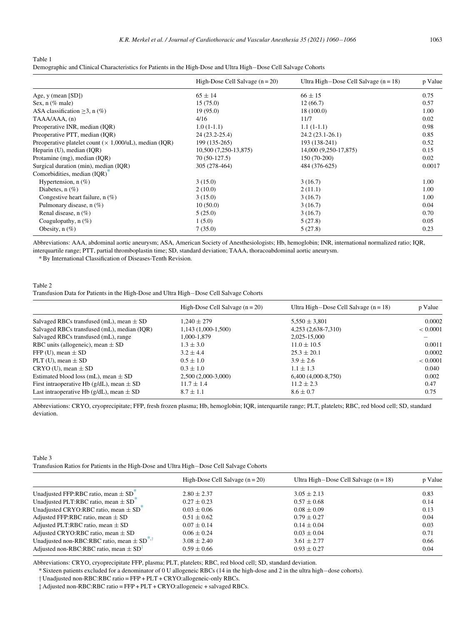<span id="page-3-0"></span>Table 1

| Demographic and Clinical Characteristics for Patients in the High-Dose and Ultra High-Dose Cell Salvage Cohorts |  |  |  |
|-----------------------------------------------------------------------------------------------------------------|--|--|--|
|                                                                                                                 |  |  |  |

|                                                                | High-Dose Cell Salvage $(n = 20)$ | Ultra High-Dose Cell Salvage $(n = 18)$ | p Value |
|----------------------------------------------------------------|-----------------------------------|-----------------------------------------|---------|
| Age, $y$ (mean $[SD]$ )                                        | $65 \pm 14$                       | $66 \pm 15$                             | 0.75    |
| Sex, $n$ (% male)                                              | 15(75.0)                          | 12(66.7)                                | 0.57    |
| ASA classification $\geq$ 3, n (%)                             | 19(95.0)                          | 18(100.0)                               | 1.00    |
| TAAA/AAA, (n)                                                  | 4/16                              | 11/7                                    | 0.02    |
| Preoperative INR, median (IQR)                                 | $1.0(1-1.1)$                      | $1.1(1-1.1)$                            | 0.98    |
| Preoperative PTT, median (IQR)                                 | 24 (23.2-25.4)                    | $24.2(23.1-26.1)$                       | 0.85    |
| Preoperative platelet count ( $\times$ 1,000/uL), median (IQR) | 199 (135-265)                     | 193 (138-241)                           | 0.52    |
| Heparin (U), median (IQR)                                      | 10,500 (7,250-13,875)             | 14,000 (9,250-17,875)                   | 0.15    |
| Protamine (mg), median (IQR)                                   | 70 (50-127.5)                     | 150 (70-200)                            | 0.02    |
| Surgical duration (min), median (IQR)                          | 305 (278-464)                     | 484 (376-625)                           | 0.0017  |
| Comorbidities, median (IQR)*                                   |                                   |                                         |         |
| Hypertension, $n$ (%)                                          | 3(15.0)                           | 3(16.7)                                 | 1.00    |
| Diabetes, $n$ (%)                                              | 2(10.0)                           | 2(11.1)                                 | 1.00    |
| Congestive heart failure, $n$ (%)                              | 3(15.0)                           | 3(16.7)                                 | 1.00    |
| Pulmonary disease, n (%)                                       | 10(50.0)                          | 3(16.7)                                 | 0.04    |
| Renal disease, $n$ (%)                                         | 5(25.0)                           | 3(16.7)                                 | 0.70    |
| Coagulopathy, $n$ (%)                                          | 1(5.0)                            | 5(27.8)                                 | 0.05    |
| Obesity, $n(\%)$                                               | 7(35.0)                           | 5(27.8)                                 | 0.23    |

<span id="page-3-5"></span>Abbreviations: AAA, abdominal aortic aneurysm; ASA, American Society of Anesthesiologists; Hb, hemoglobin; INR, international normalized ratio; IQR, interquartile range; PTT, partial thromboplastin time; SD, standard deviation; TAAA, thoracoabdominal aortic aneurysm.

\* By International Classification of Diseases-Tenth Revision.

#### <span id="page-3-1"></span>Table 2 Transfusion Data for Patients in the High-Dose and Ultra High-Dose Cell Salvage Cohorts

|                                                   | High-Dose Cell Salvage $(n = 20)$ | Ultra High-Dose Cell Salvage $(n = 18)$ | p Value  |
|---------------------------------------------------|-----------------------------------|-----------------------------------------|----------|
| Salvaged RBCs transfused (mL), mean $\pm$ SD      | $1.240 \pm 279$                   | $5,550 \pm 3,801$                       | 0.0002   |
| Salvaged RBCs transfused (mL), median (IQR)       | 1,143 (1,000-1,500)               | 4,253 (2,638-7,310)                     | < 0.0001 |
| Salvaged RBCs transfused (mL), range              | 1,000-1,879                       | 2,025-15,000                            |          |
| RBC units (allogeneic), mean $\pm$ SD             | $1.3 + 3.0$                       | $11.0 \pm 10.5$                         | 0.0011   |
| FFP (U), mean $\pm$ SD                            | $3.2 + 4.4$                       | $25.3 + 20.1$                           | 0.0002   |
| PLT (U), mean $\pm$ SD                            | $0.5 \pm 1.0$                     | $3.9 + 2.6$                             | < 0.0001 |
| $CRYO$ (U), mean $\pm SD$                         | $0.3 + 1.0$                       | $1.1 \pm 1.3$                           | 0.040    |
| Estimated blood loss (mL), mean $\pm$ SD          | $2,500(2,000-3,000)$              | $6,400$ $(4,000-8,750)$                 | 0.002    |
| First intraoperative Hb ( $g/dL$ ), mean $\pm$ SD | $11.7 \pm 1.4$                    | $11.2 \pm 2.3$                          | 0.47     |
| Last intraoperative Hb ( $g/dL$ ), mean $\pm$ SD  | $8.7 \pm 1.1$                     | $8.6 \pm 0.7$                           | 0.75     |

Abbreviations: CRYO, cryoprecipitate; FFP, fresh frozen plasma; Hb, hemoglobin; IQR, interquartile range; PLT, platelets; RBC, red blood cell; SD, standard deviation.

<span id="page-3-2"></span>

| Table 3                                                                                   |  |
|-------------------------------------------------------------------------------------------|--|
| Transfusion Ratios for Patients in the High-Dose and Ultra High-Dose Cell Salvage Cohorts |  |

|                                                                          | High-Dose Cell Salvage $(n = 20)$ | Ultra High-Dose Cell Salvage $(n = 18)$ | p Value |
|--------------------------------------------------------------------------|-----------------------------------|-----------------------------------------|---------|
| Unadjusted FFP:RBC ratio, mean $\pm$ SD <sup><math>\degree</math></sup>  | $2.80 \pm 2.37$                   | $3.05 \pm 2.13$                         | 0.83    |
| Unadjusted PLT:RBC ratio, mean $\pm$ SD <sup><math>\degree</math></sup>  | $0.27 \pm 0.23$                   | $0.57 \pm 0.68$                         | 0.14    |
| Unadjusted CRYO:RBC ratio, mean $\pm$ SD <sup><math>\degree</math></sup> | $0.03 \pm 0.06$                   | $0.08 \pm 0.09$                         | 0.13    |
| Adjusted FFP:RBC ratio, mean $\pm$ SD                                    | $0.51 \pm 0.62$                   | $0.79 \pm 0.27$                         | 0.04    |
| Adjusted PLT:RBC ratio, mean $\pm$ SD                                    | $0.07 \pm 0.14$                   | $0.14 \pm 0.04$                         | 0.03    |
| Adjusted CRYO:RBC ratio, mean $\pm$ SD                                   | $0.06 \pm 0.24$                   | $0.03 \pm 0.04$                         | 0.71    |
| Unadjusted non-RBC:RBC ratio, mean $\pm$ SD <sup>*,†</sup>               | $3.08 \pm 2.40$                   | $3.61 \pm 2.77$                         | 0.66    |
| Adjusted non-RBC:RBC ratio, mean $\pm$ SD <sup>T</sup>                   | $0.59 \pm 0.66$                   | $0.93 \pm 0.27$                         | 0.04    |

<span id="page-3-4"></span><span id="page-3-3"></span>Abbreviations: CRYO, cryoprecipitate FFP, plasma; PLT, platelets; RBC, red blood cell; SD, standard deviation.

\* Sixteen patients excluded for a denominator of 0 U allogeneic RBCs (14 in the high-dose and 2 in the ultra highdose cohorts).

y Unadjusted non-RBC:RBC ratio = FFP + PLT + CRYO:allogeneic-only RBCs.

z Adjusted non-RBC:RBC ratio = FFP + PLT + CRYO:allogeneic + salvaged RBCs.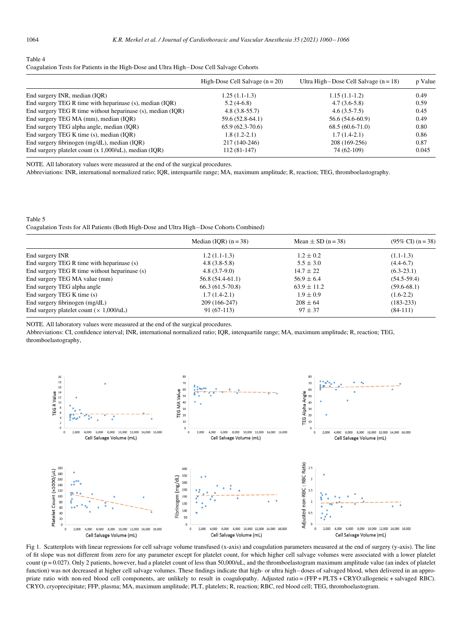<span id="page-4-0"></span>Table 4

| Coagulation Tests for Patients in the High-Dose and Ultra High-Dose Cell Salvage Cohorts |
|------------------------------------------------------------------------------------------|
|------------------------------------------------------------------------------------------|

|                                                             | High-Dose Cell Salvage $(n = 20)$ | Ultra High-Dose Cell Salvage $(n = 18)$ | p Value |
|-------------------------------------------------------------|-----------------------------------|-----------------------------------------|---------|
| End surgery INR, median (IQR)                               | $1.25(1.1-1.3)$                   | $1.15(1.1-1.2)$                         | 0.49    |
| End surgery TEG R time with heparinase (s), median (IOR)    | $5.2(4-6.8)$                      | $4.7(3.6-5.8)$                          | 0.59    |
| End surgery TEG R time without heparinase (s), median (IQR) | $4.8(3.8-55.7)$                   | $4.6(3.5-7.5)$                          | 0.45    |
| End surgery TEG MA (mm), median (IQR)                       | 59.6 (52.8-64.1)                  | 56.6 (54.6-60.9)                        | 0.49    |
| End surgery TEG alpha angle, median (IOR)                   | $65.9(62.3-70.6)$                 | $68.5(60.6-71.0)$                       | 0.80    |
| End surgery TEG K time (s), median (IQR)                    | $1.8(1.2-2.1)$                    | $1.7(1.4-2.1)$                          | 0.86    |
| End surgery fibrinogen (mg/dL), median (IQR)                | 217 (140-246)                     | 208 (169-256)                           | 0.87    |
| End surgery platelet count $(x 1,000/uL)$ , median (IQR)    | $112(81-147)$                     | 74 (62-109)                             | 0.045   |

NOTE. All laboratory values were measured at the end of the surgical procedures.

Abbreviations: INR, international normalized ratio; IQR, interquartile range; MA, maximum amplitude; R, reaction; TEG, thromboelastography.

<span id="page-4-1"></span>Table 5 Coagulation Tests for All Patients (Both High-Dose and Ultra High-Dose Cohorts Combined)

|                                                | Median (IOR) $(n = 38)$ | Mean $\pm$ SD (n = 38) | $(95\% \text{ CI}) (n=38)$ |
|------------------------------------------------|-------------------------|------------------------|----------------------------|
| End surgery INR                                | $1.2(1.1-1.3)$          | $1.2 \pm 0.2$          | $(1.1-1.3)$                |
| End surgery TEG R time with heparinase (s)     | $4.8(3.8-5.8)$          | $5.5 \pm 3.0$          | $(4.4-6.7)$                |
| End surgery TEG R time without heparinase (s)  | $4.8(3.7-9.0)$          | $14.7 \pm 22$          | $(6.3-23.1)$               |
| End surgery TEG MA value (mm)                  | $56.8(54.4-61.1)$       | $56.9 \pm 6.4$         | $(54.5-59.4)$              |
| End surgery TEG alpha angle                    | $66.3(61.5-70.8)$       | $63.9 \pm 11.2$        | $(59.6 - 68.1)$            |
| End surgery TEG K time (s)                     | $1.7(1.4-2.1)$          | $1.9 \pm 0.9$          | $(1.6-2.2)$                |
| End surgery fibrinogen (mg/dL)                 | 209 (166-247)           | $208 \pm 64$           | $(183 - 233)$              |
| End surgery platelet count $(\times 1,000/uL)$ | $91(67-113)$            | $97 \pm 37$            | $(84-111)$                 |

NOTE. All laboratory values were measured at the end of the surgical procedures.

<span id="page-4-2"></span>Abbreviations: CI, confidence interval; INR, international normalized ratio; IQR, interquartile range; MA, maximum amplitude; R, reaction; TEG, thromboelastography,



Fig 1. Scatterplots with linear regressions for cell salvage volume transfused (x-axis) and coagulation parameters measured at the end of surgery (y-axis). The line of fit slope was not different from zero for any parameter except for platelet count, for which higher cell salvage volumes were associated with a lower platelet count ( $p = 0.027$ ). Only 2 patients, however, had a platelet count of less than 50,000/uL, and the thromboelastogram maximum amplitude value (an index of platelet function) was not decreased at higher cell salvage volumes. These findings indicate that high- or ultra high-doses of salvaged blood, when delivered in an appropriate ratio with non-red blood cell components, are unlikely to result in coagulopathy. Adjusted ratio = (FFP + PLTS + CRYO:allogeneic + salvaged RBC). CRYO, cryoprecipitate; FFP, plasma; MA, maximum amplitude; PLT, platelets; R, reaction; RBC, red blood cell; TEG, thromboelastogram.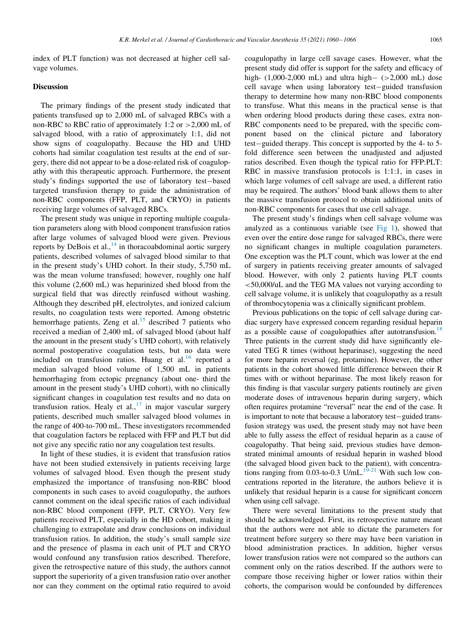index of PLT function) was not decreased at higher cell salvage volumes.

## Discussion

The primary findings of the present study indicated that patients transfused up to 2,000 mL of salvaged RBCs with a non-RBC to RBC ratio of approximately 1:2 or >2,000 mL of salvaged blood, with a ratio of approximately 1:1, did not show signs of coagulopathy. Because the HD and UHD cohorts had similar coagulation test results at the end of surgery, there did not appear to be a dose-related risk of coagulopathy with this therapeutic approach. Furthermore, the present study's findings supported the use of laboratory test-based targeted transfusion therapy to guide the administration of non-RBC components (FFP, PLT, and CRYO) in patients receiving large volumes of salvaged RBCs.

The present study was unique in reporting multiple coagulation parameters along with blood component transfusion ratios after large volumes of salvaged blood were given. Previous reports by DeBois et al., $^{14}$  $^{14}$  $^{14}$  in thoracoabdominal aortic surgery patients, described volumes of salvaged blood similar to that in the present study's UHD cohort. In their study, 5,750 mL was the mean volume transfused; however, roughly one half this volume (2,600 mL) was heparinized shed blood from the surgical field that was directly reinfused without washing. Although they described pH, electrolytes, and ionized calcium results, no coagulation tests were reported. Among obstetric hemorrhage patients, Zeng et al. $15$  described 7 patients who received a median of 2,400 mL of salvaged blood (about half the amount in the present study's UHD cohort), with relatively normal postoperative coagulation tests, but no data were included on transfusion ratios. Huang et al. $^{16}$  $^{16}$  $^{16}$  reported a median salvaged blood volume of 1,500 mL in patients hemorrhaging from ectopic pregnancy (about one- third the amount in the present study's UHD cohort), with no clinically significant changes in coagulation test results and no data on transfusion ratios. Healy et al., $17$  in major vascular surgery patients, described much smaller salvaged blood volumes in the range of 400-to-700 mL. These investigators recommended that coagulation factors be replaced with FFP and PLT but did not give any specific ratio nor any coagulation test results.

In light of these studies, it is evident that transfusion ratios have not been studied extensively in patients receiving large volumes of salvaged blood. Even though the present study emphasized the importance of transfusing non-RBC blood components in such cases to avoid coagulopathy, the authors cannot comment on the ideal specific ratios of each individual non-RBC blood component (FFP, PLT, CRYO). Very few patients received PLT, especially in the HD cohort, making it challenging to extrapolate and draw conclusions on individual transfusion ratios. In addition, the study's small sample size and the presence of plasma in each unit of PLT and CRYO would confound any transfusion ratios described. Therefore, given the retrospective nature of this study, the authors cannot support the superiority of a given transfusion ratio over another nor can they comment on the optimal ratio required to avoid coagulopathy in large cell savage cases. However, what the present study did offer is support for the safety and efficacy of high-  $(1,000-2,000 \text{ mL})$  and ultra high-  $(>2,000 \text{ mL})$  dose cell savage when using laboratory test-guided transfusion therapy to determine how many non-RBC blood components to transfuse. What this means in the practical sense is that when ordering blood products during these cases, extra non-RBC components need to be prepared, with the specific component based on the clinical picture and laboratory test-guided therapy. This concept is supported by the 4- to 5fold difference seen between the unadjusted and adjusted ratios described. Even though the typical ratio for FFP:PLT: RBC in massive transfusion protocols is 1:1:1, in cases in which large volumes of cell salvage are used, a different ratio may be required. The authors' blood bank allows them to alter the massive transfusion protocol to obtain additional units of non-RBC components for cases that use cell salvage.

The present study's findings when cell salvage volume was analyzed as a continuous variable (see [Fig 1\)](#page-4-2), showed that even over the entire dose range for salvaged RBCs, there were no significant changes in multiple coagulation parameters. One exception was the PLT count, which was lower at the end of surgery in patients receiving greater amounts of salvaged blood. However, with only 2 patients having PLT counts <50,000/uL and the TEG MA values not varying according to cell salvage volume, it is unlikely that coagulopathy as a result of thrombocytopenia was a clinically significant problem.

Previous publications on the topic of cell salvage during cardiac surgery have expressed concern regarding residual heparin as a possible cause of coagulopathies after autotransfusion.<sup>[18](#page-6-15)</sup> Three patients in the current study did have significantly elevated TEG R times (without heparinase), suggesting the need for more heparin reversal (eg, protamine). However, the other patients in the cohort showed little difference between their R times with or without heparinase. The most likely reason for this finding is that vascular surgery patients routinely are given moderate doses of intravenous heparin during surgery, which often requires protamine "reversal" near the end of the case. It is important to note that because a laboratory test-guided transfusion strategy was used, the present study may not have been able to fully assess the effect of residual heparin as a cause of coagulopathy. That being said, previous studies have demonstrated minimal amounts of residual heparin in washed blood (the salvaged blood given back to the patient), with concentrations ranging from  $0.03$ -to-0.3 U/mL.<sup>19-21</sup> With such low concentrations reported in the literature, the authors believe it is unlikely that residual heparin is a cause for significant concern when using cell salvage.

There were several limitations to the present study that should be acknowledged. First, its retrospective nature meant that the authors were not able to dictate the parameters for treatment before surgery so there may have been variation in blood administration practices. In addition, higher versus lower transfusion ratios were not compared so the authors can comment only on the ratios described. If the authors were to compare those receiving higher or lower ratios within their cohorts, the comparison would be confounded by differences